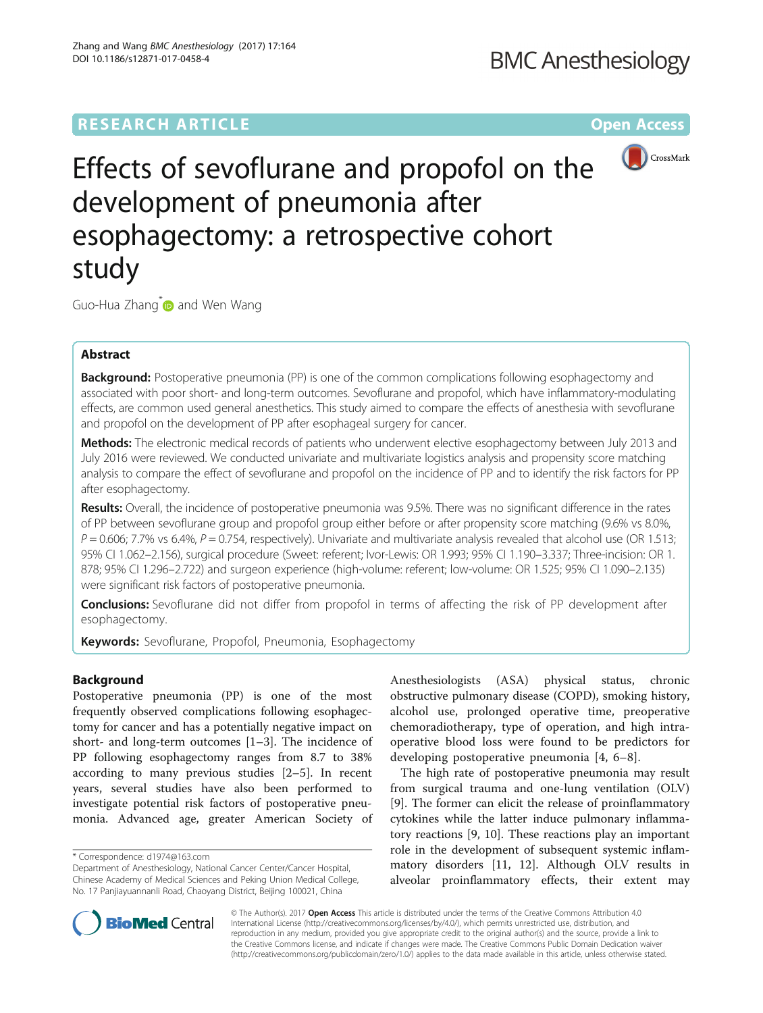# **BMC Anesthesiology**

# **RESEARCH ARTICLE External Structure Community Community Community Community Community Community Community Community**



# Effects of sevoflurane and propofol on the development of pneumonia after esophagectomy: a retrospective cohort study

Guo-Hua Zhang<sup>\*</sup> and Wen Wang

## Abstract

**Background:** Postoperative pneumonia (PP) is one of the common complications following esophagectomy and associated with poor short- and long-term outcomes. Sevoflurane and propofol, which have inflammatory-modulating effects, are common used general anesthetics. This study aimed to compare the effects of anesthesia with sevoflurane and propofol on the development of PP after esophageal surgery for cancer.

Methods: The electronic medical records of patients who underwent elective esophagectomy between July 2013 and July 2016 were reviewed. We conducted univariate and multivariate logistics analysis and propensity score matching analysis to compare the effect of sevoflurane and propofol on the incidence of PP and to identify the risk factors for PP after esophagectomy.

Results: Overall, the incidence of postoperative pneumonia was 9.5%. There was no significant difference in the rates of PP between sevoflurane group and propofol group either before or after propensity score matching (9.6% vs 8.0%,  $P = 0.606$ ; 7.7% vs 6.4%,  $P = 0.754$ , respectively). Univariate and multivariate analysis revealed that alcohol use (OR 1.513; 95% CI 1.062–2.156), surgical procedure (Sweet: referent; Ivor-Lewis: OR 1.993; 95% CI 1.190–3.337; Three-incision: OR 1. 878; 95% CI 1.296–2.722) and surgeon experience (high-volume: referent; low-volume: OR 1.525; 95% CI 1.090–2.135) were significant risk factors of postoperative pneumonia.

**Conclusions:** Sevoflurane did not differ from propofol in terms of affecting the risk of PP development after esophagectomy.

Keywords: Sevoflurane, Propofol, Pneumonia, Esophagectomy

## Background

Postoperative pneumonia (PP) is one of the most frequently observed complications following esophagectomy for cancer and has a potentially negative impact on short- and long-term outcomes [\[1](#page-6-0)–[3\]](#page-6-0). The incidence of PP following esophagectomy ranges from 8.7 to 38% according to many previous studies [\[2](#page-6-0)–[5\]](#page-6-0). In recent years, several studies have also been performed to investigate potential risk factors of postoperative pneumonia. Advanced age, greater American Society of

Anesthesiologists (ASA) physical status, chronic obstructive pulmonary disease (COPD), smoking history, alcohol use, prolonged operative time, preoperative chemoradiotherapy, type of operation, and high intraoperative blood loss were found to be predictors for developing postoperative pneumonia [[4, 6](#page-6-0)–[8\]](#page-6-0).

The high rate of postoperative pneumonia may result from surgical trauma and one-lung ventilation (OLV) [[9\]](#page-6-0). The former can elicit the release of proinflammatory cytokines while the latter induce pulmonary inflammatory reactions [[9, 10](#page-6-0)]. These reactions play an important role in the development of subsequent systemic inflammatory disorders [\[11, 12](#page-6-0)]. Although OLV results in alveolar proinflammatory effects, their extent may



© The Author(s). 2017 **Open Access** This article is distributed under the terms of the Creative Commons Attribution 4.0 International License [\(http://creativecommons.org/licenses/by/4.0/](http://creativecommons.org/licenses/by/4.0/)), which permits unrestricted use, distribution, and reproduction in any medium, provided you give appropriate credit to the original author(s) and the source, provide a link to the Creative Commons license, and indicate if changes were made. The Creative Commons Public Domain Dedication waiver [\(http://creativecommons.org/publicdomain/zero/1.0/](http://creativecommons.org/publicdomain/zero/1.0/)) applies to the data made available in this article, unless otherwise stated.

<sup>\*</sup> Correspondence: [d1974@163.com](mailto:d1974@163.com)

Department of Anesthesiology, National Cancer Center/Cancer Hospital, Chinese Academy of Medical Sciences and Peking Union Medical College, No. 17 Panjiayuannanli Road, Chaoyang District, Beijing 100021, China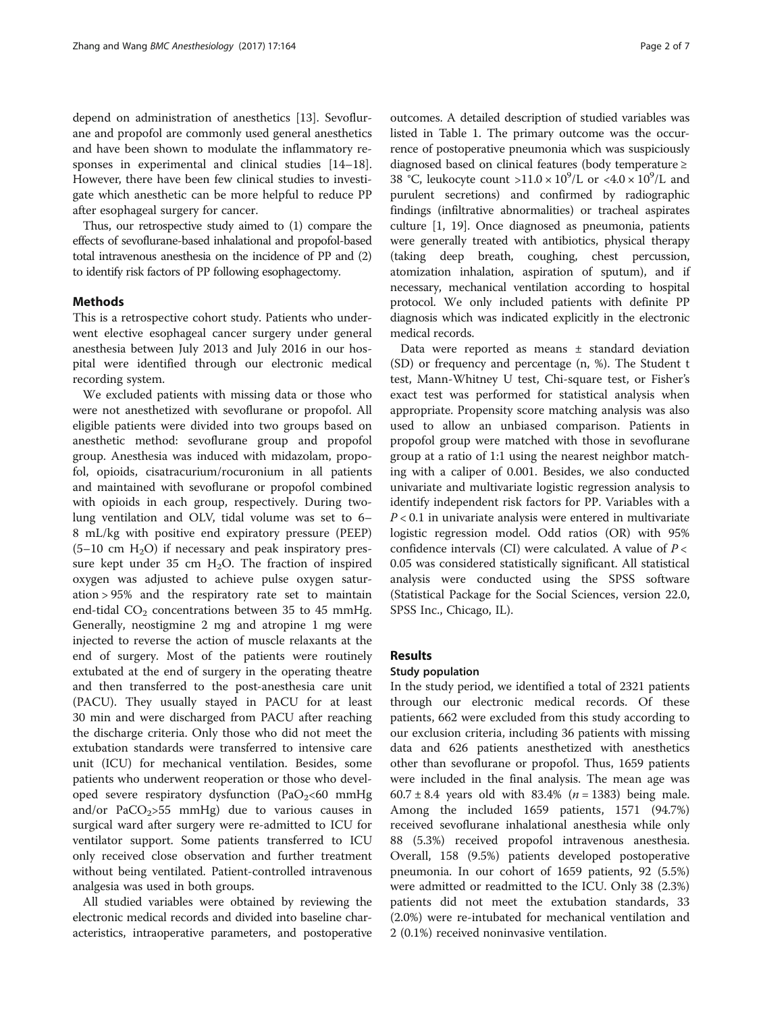depend on administration of anesthetics [\[13\]](#page-6-0). Sevoflurane and propofol are commonly used general anesthetics and have been shown to modulate the inflammatory responses in experimental and clinical studies [[14](#page-6-0)–[18](#page-6-0)]. However, there have been few clinical studies to investigate which anesthetic can be more helpful to reduce PP after esophageal surgery for cancer.

Thus, our retrospective study aimed to (1) compare the effects of sevoflurane-based inhalational and propofol-based total intravenous anesthesia on the incidence of PP and (2) to identify risk factors of PP following esophagectomy.

## Methods

This is a retrospective cohort study. Patients who underwent elective esophageal cancer surgery under general anesthesia between July 2013 and July 2016 in our hospital were identified through our electronic medical recording system.

We excluded patients with missing data or those who were not anesthetized with sevoflurane or propofol. All eligible patients were divided into two groups based on anesthetic method: sevoflurane group and propofol group. Anesthesia was induced with midazolam, propofol, opioids, cisatracurium/rocuronium in all patients and maintained with sevoflurane or propofol combined with opioids in each group, respectively. During twolung ventilation and OLV, tidal volume was set to 6– 8 mL/kg with positive end expiratory pressure (PEEP)  $(5-10 \text{ cm } H_2O)$  if necessary and peak inspiratory pressure kept under 35 cm  $H<sub>2</sub>O$ . The fraction of inspired oxygen was adjusted to achieve pulse oxygen saturation > 95% and the respiratory rate set to maintain end-tidal  $CO<sub>2</sub>$  concentrations between 35 to 45 mmHg. Generally, neostigmine 2 mg and atropine 1 mg were injected to reverse the action of muscle relaxants at the end of surgery. Most of the patients were routinely extubated at the end of surgery in the operating theatre and then transferred to the post-anesthesia care unit (PACU). They usually stayed in PACU for at least 30 min and were discharged from PACU after reaching the discharge criteria. Only those who did not meet the extubation standards were transferred to intensive care unit (ICU) for mechanical ventilation. Besides, some patients who underwent reoperation or those who developed severe respiratory dysfunction (PaO<sub>2</sub><60 mmHg and/or  $PaCO<sub>2</sub> > 55$  mmHg) due to various causes in surgical ward after surgery were re-admitted to ICU for ventilator support. Some patients transferred to ICU only received close observation and further treatment without being ventilated. Patient-controlled intravenous analgesia was used in both groups.

All studied variables were obtained by reviewing the electronic medical records and divided into baseline characteristics, intraoperative parameters, and postoperative

outcomes. A detailed description of studied variables was listed in Table [1.](#page-2-0) The primary outcome was the occurrence of postoperative pneumonia which was suspiciously diagnosed based on clinical features (body temperature ≥ 38 °C, leukocyte count >11.0  $\times$  10<sup>9</sup>/L or <4.0  $\times$  10<sup>9</sup>/L and purulent secretions) and confirmed by radiographic findings (infiltrative abnormalities) or tracheal aspirates culture [[1](#page-6-0), [19\]](#page-6-0). Once diagnosed as pneumonia, patients were generally treated with antibiotics, physical therapy (taking deep breath, coughing, chest percussion, atomization inhalation, aspiration of sputum), and if necessary, mechanical ventilation according to hospital protocol. We only included patients with definite PP diagnosis which was indicated explicitly in the electronic medical records.

Data were reported as means ± standard deviation (SD) or frequency and percentage (n, %). The Student t test, Mann-Whitney U test, Chi-square test, or Fisher's exact test was performed for statistical analysis when appropriate. Propensity score matching analysis was also used to allow an unbiased comparison. Patients in propofol group were matched with those in sevoflurane group at a ratio of 1:1 using the nearest neighbor matching with a caliper of 0.001. Besides, we also conducted univariate and multivariate logistic regression analysis to identify independent risk factors for PP. Variables with a  $P < 0.1$  in univariate analysis were entered in multivariate logistic regression model. Odd ratios (OR) with 95% confidence intervals (CI) were calculated. A value of  $P \lt \mathbb{R}$ 0.05 was considered statistically significant. All statistical analysis were conducted using the SPSS software (Statistical Package for the Social Sciences, version 22.0, SPSS Inc., Chicago, IL).

## Results

## Study population

In the study period, we identified a total of 2321 patients through our electronic medical records. Of these patients, 662 were excluded from this study according to our exclusion criteria, including 36 patients with missing data and 626 patients anesthetized with anesthetics other than sevoflurane or propofol. Thus, 1659 patients were included in the final analysis. The mean age was 60.7 ± 8.4 years old with 83.4% ( $n = 1383$ ) being male. Among the included 1659 patients, 1571 (94.7%) received sevoflurane inhalational anesthesia while only 88 (5.3%) received propofol intravenous anesthesia. Overall, 158 (9.5%) patients developed postoperative pneumonia. In our cohort of 1659 patients, 92 (5.5%) were admitted or readmitted to the ICU. Only 38 (2.3%) patients did not meet the extubation standards, 33 (2.0%) were re-intubated for mechanical ventilation and 2 (0.1%) received noninvasive ventilation.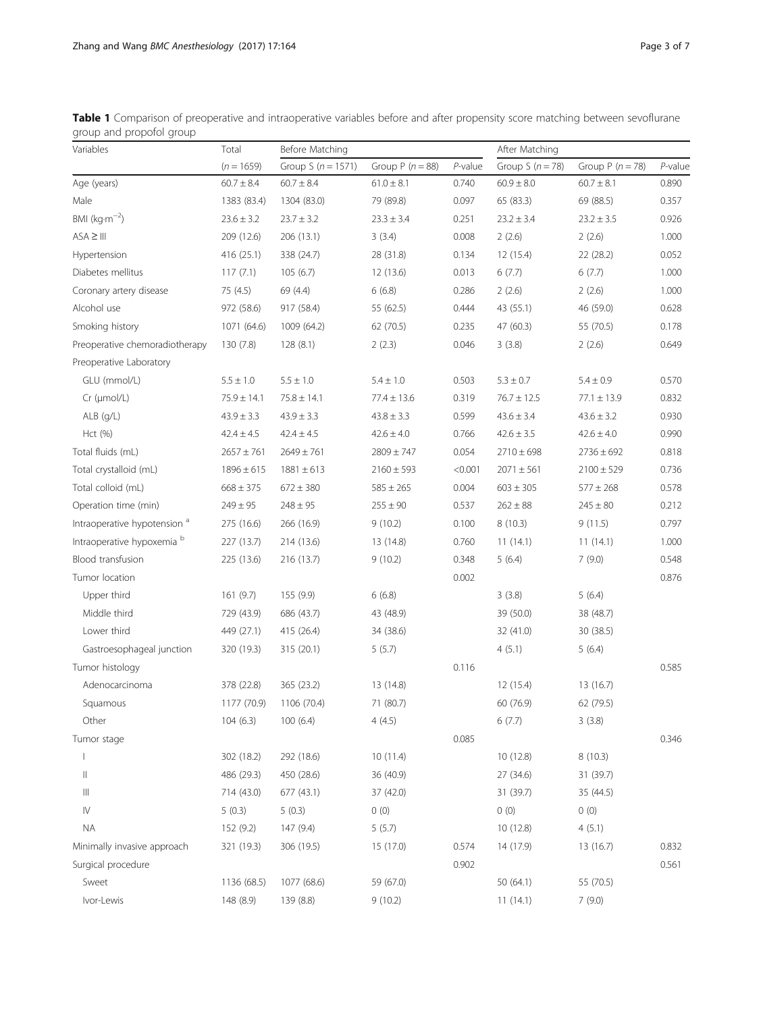| Variables                               | Total           | Before Matching        |                    |            | After Matching     |                    |            |  |
|-----------------------------------------|-----------------|------------------------|--------------------|------------|--------------------|--------------------|------------|--|
|                                         | $(n = 1659)$    | Group S ( $n = 1571$ ) | Group P $(n = 88)$ | $P$ -value | Group S $(n = 78)$ | Group P $(n = 78)$ | $P$ -value |  |
| Age (years)                             | $60.7 \pm 8.4$  | $60.7 \pm 8.4$         | $61.0 \pm 8.1$     | 0.740      | $60.9 \pm 8.0$     | $60.7 \pm 8.1$     | 0.890      |  |
| Male                                    | 1383 (83.4)     | 1304 (83.0)            | 79 (89.8)          | 0.097      | 65 (83.3)          | 69 (88.5)          | 0.357      |  |
| BMI ( $kg·m-2$ )                        | $23.6 \pm 3.2$  | $23.7 \pm 3.2$         | $23.3 \pm 3.4$     | 0.251      | $23.2 \pm 3.4$     | $23.2 \pm 3.5$     | 0.926      |  |
| $ASA \geq    $                          | 209 (12.6)      | 206 (13.1)             | 3(3.4)             | 0.008      | 2(2.6)             | 2(2.6)             | 1.000      |  |
| Hypertension                            | 416 (25.1)      | 338 (24.7)             | 28 (31.8)          | 0.134      | 12 (15.4)          | 22 (28.2)          | 0.052      |  |
| Diabetes mellitus                       | 117(7.1)        | 105(6.7)               | 12(13.6)           | 0.013      | 6(7.7)             | 6(7.7)             | 1.000      |  |
| Coronary artery disease                 | 75 (4.5)        | 69 (4.4)               | 6(6.8)             | 0.286      | 2(2.6)             | 2(2.6)             | 1.000      |  |
| Alcohol use                             | 972 (58.6)      | 917 (58.4)             | 55 (62.5)          | 0.444      | 43 (55.1)          | 46 (59.0)          | 0.628      |  |
| Smoking history                         | 1071 (64.6)     | 1009 (64.2)            | 62 (70.5)          | 0.235      | 47 (60.3)          | 55 (70.5)          | 0.178      |  |
| Preoperative chemoradiotherapy          | 130 (7.8)       | 128(8.1)               | 2(2.3)             | 0.046      | 3(3.8)             | 2(2.6)             | 0.649      |  |
| Preoperative Laboratory                 |                 |                        |                    |            |                    |                    |            |  |
| GLU (mmol/L)                            | $5.5 \pm 1.0$   | $5.5 \pm 1.0$          | $5.4 \pm 1.0$      | 0.503      | $5.3 \pm 0.7$      | $5.4 \pm 0.9$      | 0.570      |  |
| Cr (µmol/L)                             | $75.9 \pm 14.1$ | $75.8 \pm 14.1$        | $77.4 \pm 13.6$    | 0.319      | $76.7 \pm 12.5$    | $77.1 \pm 13.9$    | 0.832      |  |
| ALB (g/L)                               | $43.9 \pm 3.3$  | $43.9 \pm 3.3$         | $43.8 \pm 3.3$     | 0.599      | $43.6 \pm 3.4$     | $43.6 \pm 3.2$     | 0.930      |  |
| Hct (%)                                 | $42.4 \pm 4.5$  | $42.4 \pm 4.5$         | $42.6 \pm 4.0$     | 0.766      | $42.6 \pm 3.5$     | $42.6 \pm 4.0$     | 0.990      |  |
| Total fluids (mL)                       | $2657 \pm 761$  | $2649 \pm 761$         | $2809 \pm 747$     | 0.054      | $2710 \pm 698$     | $2736 \pm 692$     | 0.818      |  |
| Total crystalloid (mL)                  | $1896 \pm 615$  | $1881 \pm 613$         | $2160 \pm 593$     | < 0.001    | $2071 \pm 561$     | $2100 \pm 529$     | 0.736      |  |
| Total colloid (mL)                      | $668 \pm 375$   | $672 \pm 380$          | $585 \pm 265$      | 0.004      | $603 \pm 305$      | $577 \pm 268$      | 0.578      |  |
| Operation time (min)                    | $249 \pm 95$    | $248 \pm 95$           | $255 \pm 90$       | 0.537      | $262 \pm 88$       | $245 \pm 80$       | 0.212      |  |
| Intraoperative hypotension <sup>a</sup> | 275 (16.6)      | 266 (16.9)             | 9(10.2)            | 0.100      | 8(10.3)            | 9(11.5)            | 0.797      |  |
| Intraoperative hypoxemia b              | 227 (13.7)      | 214 (13.6)             | 13 (14.8)          | 0.760      | 11(14.1)           | 11(14.1)           | 1.000      |  |
| Blood transfusion                       | 225 (13.6)      | 216 (13.7)             | 9(10.2)            | 0.348      | 5(6.4)             | 7(9.0)             | 0.548      |  |
| Tumor location                          |                 |                        |                    | 0.002      |                    |                    | 0.876      |  |
| Upper third                             | 161 (9.7)       | 155 (9.9)              | 6(6.8)             |            | 3(3.8)             | 5(6.4)             |            |  |
| Middle third                            | 729 (43.9)      | 686 (43.7)             | 43 (48.9)          |            | 39 (50.0)          | 38 (48.7)          |            |  |
| Lower third                             | 449 (27.1)      | 415 (26.4)             | 34 (38.6)          |            | 32 (41.0)          | 30 (38.5)          |            |  |
| Gastroesophageal junction               | 320 (19.3)      | 315 (20.1)             | 5(5.7)             |            | 4(5.1)             | 5(6.4)             |            |  |
| Tumor histology                         |                 |                        |                    | 0.116      |                    |                    | 0.585      |  |
| Adenocarcinoma                          | 378 (22.8)      | 365 (23.2)             | 13 (14.8)          |            | 12 (15.4)          | 13 (16.7)          |            |  |
| Squamous                                | 1177 (70.9)     | 1106 (70.4)            | 71 (80.7)          |            | 60 (76.9)          | 62 (79.5)          |            |  |
| Other                                   | 104(6.3)        | 100(6.4)               | 4(4.5)             |            | 6(7.7)             | 3(3.8)             |            |  |
| Tumor stage                             |                 |                        |                    | 0.085      |                    |                    | 0.346      |  |
|                                         | 302 (18.2)      | 292 (18.6)             | 10(11.4)           |            | 10 (12.8)          | 8(10.3)            |            |  |
| Ш                                       | 486 (29.3)      | 450 (28.6)             | 36 (40.9)          |            | 27 (34.6)          | 31 (39.7)          |            |  |
| $\  \ $                                 | 714 (43.0)      | 677 (43.1)             | 37 (42.0)          |            | 31 (39.7)          | 35 (44.5)          |            |  |
| ${\sf IV}$                              | 5(0.3)          | 5(0.3)                 | 0(0)               |            | 0(0)               | 0(0)               |            |  |
| <b>NA</b>                               | 152 (9.2)       | 147 (9.4)              | 5(5.7)             |            | 10 (12.8)          | 4(5.1)             |            |  |
| Minimally invasive approach             | 321 (19.3)      | 306 (19.5)             | 15 (17.0)          | 0.574      | 14 (17.9)          | 13 (16.7)          | 0.832      |  |
| Surgical procedure                      |                 |                        |                    | 0.902      |                    |                    | 0.561      |  |
| Sweet                                   | 1136 (68.5)     | 1077 (68.6)            | 59 (67.0)          |            | 50(64.1)           | 55 (70.5)          |            |  |
| Ivor-Lewis                              | 148 (8.9)       | 139 (8.8)              | 9(10.2)            |            | 11(14.1)           | 7(9.0)             |            |  |

<span id="page-2-0"></span>Table 1 Comparison of preoperative and intraoperative variables before and after propensity score matching between sevoflurane group and propofol group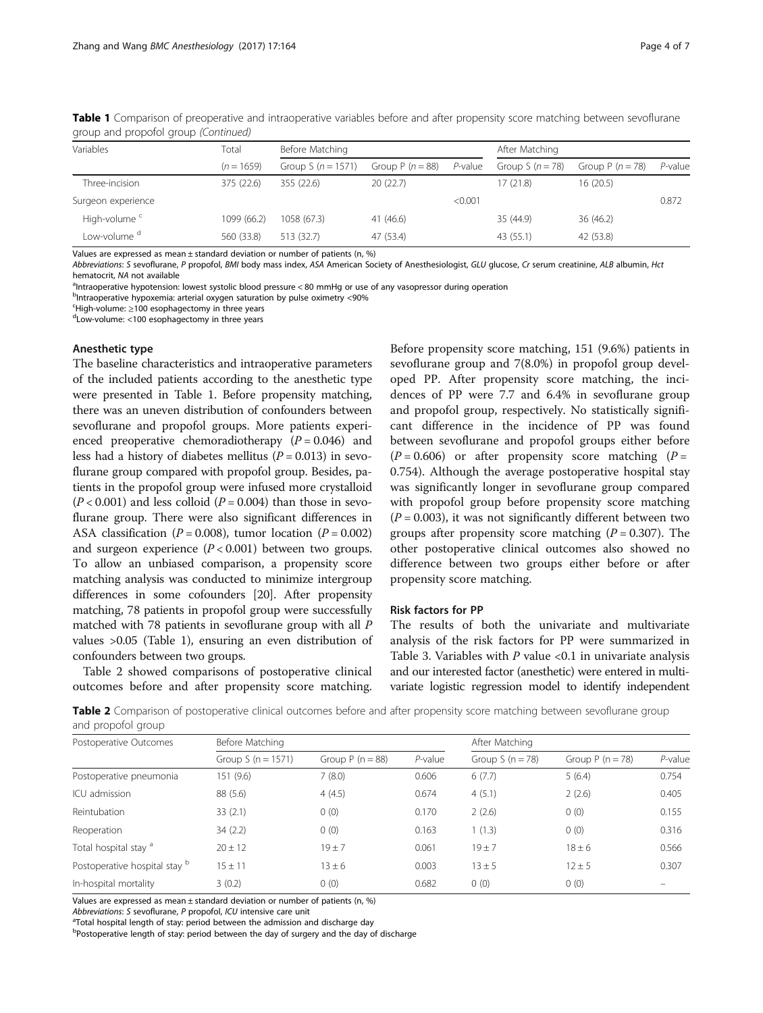| Variables                | Total        | Before Matching        |                    |            | After Matching     |                    |            |
|--------------------------|--------------|------------------------|--------------------|------------|--------------------|--------------------|------------|
|                          | $(n = 1659)$ | Group S ( $n = 1571$ ) | Group P $(n = 88)$ | $P$ -value | Group S $(n = 78)$ | Group P $(n = 78)$ | $P$ -value |
| Three-incision           | 375 (22.6)   | 355 (22.6)             | 20(22.7)           |            | 17 (21.8)          | 16(20.5)           |            |
| Surgeon experience       |              |                        |                    | < 0.001    |                    |                    | 0.872      |
| High-volume <sup>c</sup> | 1099 (66.2)  | 1058 (67.3)            | 41 (46.6)          |            | 35 (44.9)          | 36 (46.2)          |            |
| Low-volume <sup>d</sup>  | 560 (33.8)   | 513 (32.7)             | 47 (53.4)          |            | 43 (55.1)          | 42 (53.8)          |            |

Table 1 Comparison of preoperative and intraoperative variables before and after propensity score matching between sevoflurane group and propofol group (Continued)

Values are expressed as mean  $\pm$  standard deviation or number of patients (n, %)

Abbreviations: S sevoflurane, P propofol, BMI body mass index, ASA American Society of Anesthesiologist, GLU glucose, Cr serum creatinine, ALB albumin, Hct hematocrit, NA not available

<sup>a</sup>Intraoperative hypotension: lowest systolic blood pressure < 80 mmHg or use of any vasopressor during operation

<sup>b</sup>Intraoperative hypoxemia: arterial oxygen saturation by pulse oximetry <90%

 $\epsilon$ High-volume:  $\geq 100$  esophagectomy in three years due to the vear-

Low-volume: <100 esophagectomy in three years

### Anesthetic type

The baseline characteristics and intraoperative parameters of the included patients according to the anesthetic type were presented in Table [1](#page-2-0). Before propensity matching, there was an uneven distribution of confounders between sevoflurane and propofol groups. More patients experienced preoperative chemoradiotherapy  $(P = 0.046)$  and less had a history of diabetes mellitus ( $P = 0.013$ ) in sevoflurane group compared with propofol group. Besides, patients in the propofol group were infused more crystalloid  $(P<0.001)$  and less colloid  $(P=0.004)$  than those in sevoflurane group. There were also significant differences in ASA classification ( $P = 0.008$ ), tumor location ( $P = 0.002$ ) and surgeon experience  $(P < 0.001)$  between two groups. To allow an unbiased comparison, a propensity score matching analysis was conducted to minimize intergroup differences in some cofounders [[20](#page-6-0)]. After propensity matching, 78 patients in propofol group were successfully matched with 78 patients in sevoflurane group with all P values >0.05 (Table [1](#page-2-0)), ensuring an even distribution of confounders between two groups.

Table 2 showed comparisons of postoperative clinical outcomes before and after propensity score matching.

Before propensity score matching, 151 (9.6%) patients in sevoflurane group and 7(8.0%) in propofol group developed PP. After propensity score matching, the incidences of PP were 7.7 and 6.4% in sevoflurane group and propofol group, respectively. No statistically significant difference in the incidence of PP was found between sevoflurane and propofol groups either before  $(P = 0.606)$  or after propensity score matching  $(P = 0.606)$ 0.754). Although the average postoperative hospital stay was significantly longer in sevoflurane group compared with propofol group before propensity score matching  $(P = 0.003)$ , it was not significantly different between two groups after propensity score matching  $(P = 0.307)$ . The other postoperative clinical outcomes also showed no difference between two groups either before or after propensity score matching.

## Risk factors for PP

The results of both the univariate and multivariate analysis of the risk factors for PP were summarized in Table [3.](#page-4-0) Variables with  $P$  value <0.1 in univariate analysis and our interested factor (anesthetic) were entered in multivariate logistic regression model to identify independent

Table 2 Comparison of postoperative clinical outcomes before and after propensity score matching between sevoflurane group and propofol group

| Postoperative Outcomes                   | Before Matching     |                   | After Matching |                   |                   |         |
|------------------------------------------|---------------------|-------------------|----------------|-------------------|-------------------|---------|
|                                          | Group $S(n = 1571)$ | Group $P(n = 88)$ | $P$ -value     | Group $S(n = 78)$ | Group $P(n = 78)$ | P-value |
| Postoperative pneumonia                  | 151 (9.6)           | 7(8.0)            | 0.606          | 6(7.7)            | 5(6.4)            | 0.754   |
| ICU admission                            | 88 (5.6)            | 4(4.5)            | 0.674          | 4(5.1)            | 2(2.6)            | 0.405   |
| Reintubation                             | 33(2.1)             | 0(0)              | 0.170          | 2(2.6)            | 0(0)              | 0.155   |
| Reoperation                              | 34(2.2)             | 0(0)              | 0.163          | 1(1.3)            | 0(0)              | 0.316   |
| Total hospital stay <sup>a</sup>         | $20 \pm 12$         | $19 + 7$          | 0.061          | $19 + 7$          | $18 \pm 6$        | 0.566   |
| Postoperative hospital stay <sup>b</sup> | $15 \pm 11$         | $13 \pm 6$        | 0.003          | $13 \pm 5$        | $12 \pm 5$        | 0.307   |
| In-hospital mortality                    | 3(0.2)              | 0(0)              | 0.682          | 0(0)              | 0(0)              |         |

Values are expressed as mean ± standard deviation or number of patients (n, %)

Abbreviations: S sevoflurane, P propofol, ICU intensive care unit

<sup>a</sup>Total hospital length of stay: period between the admission and discharge day

<sup>b</sup>Postoperative length of stay: period between the day of surgery and the day of discharge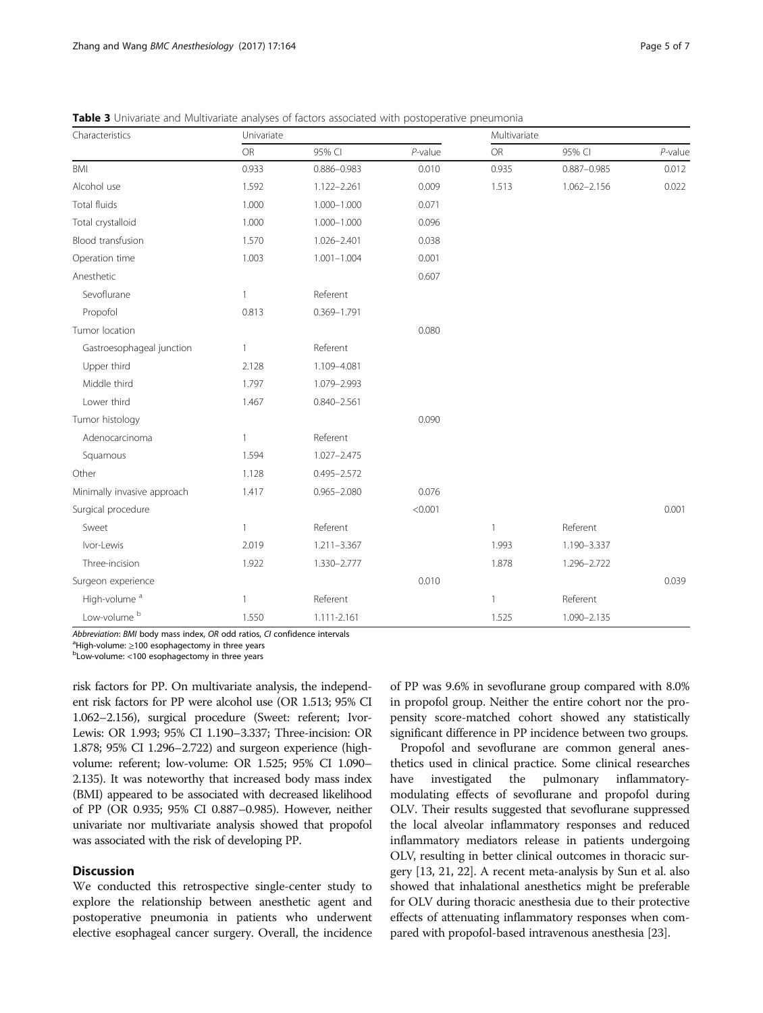| Characteristics             | Univariate   |                 |            | Multivariate |                 |            |  |
|-----------------------------|--------------|-----------------|------------|--------------|-----------------|------------|--|
|                             | <b>OR</b>    | 95% CI          | $P$ -value | OR           | 95% CI          | $P$ -value |  |
| <b>BMI</b>                  | 0.933        | $0.886 - 0.983$ | 0.010      | 0.935        | $0.887 - 0.985$ | 0.012      |  |
| Alcohol use                 | 1.592        | 1.122-2.261     | 0.009      | 1.513        | $1.062 - 2.156$ | 0.022      |  |
| Total fluids                | 1.000        | $1.000 - 1.000$ | 0.071      |              |                 |            |  |
| Total crystalloid           | 1.000        | 1.000-1.000     | 0.096      |              |                 |            |  |
| Blood transfusion           | 1.570        | 1.026-2.401     | 0.038      |              |                 |            |  |
| Operation time              | 1.003        | $1.001 - 1.004$ | 0.001      |              |                 |            |  |
| Anesthetic                  |              |                 | 0.607      |              |                 |            |  |
| Sevoflurane                 | $\mathbf{1}$ | Referent        |            |              |                 |            |  |
| Propofol                    | 0.813        | 0.369-1.791     |            |              |                 |            |  |
| Tumor location              |              |                 | 0.080      |              |                 |            |  |
| Gastroesophageal junction   | 1            | Referent        |            |              |                 |            |  |
| Upper third                 | 2.128        | 1.109-4.081     |            |              |                 |            |  |
| Middle third                | 1.797        | 1.079-2.993     |            |              |                 |            |  |
| Lower third                 | 1.467        | $0.840 - 2.561$ |            |              |                 |            |  |
| Tumor histology             |              |                 | 0.090      |              |                 |            |  |
| Adenocarcinoma              | 1            | Referent        |            |              |                 |            |  |
| Squamous                    | 1.594        | 1.027-2.475     |            |              |                 |            |  |
| Other                       | 1.128        | $0.495 - 2.572$ |            |              |                 |            |  |
| Minimally invasive approach | 1.417        | $0.965 - 2.080$ | 0.076      |              |                 |            |  |
| Surgical procedure          |              |                 | < 0.001    |              |                 | 0.001      |  |
| Sweet                       | $\mathbf{1}$ | Referent        |            | $\mathbf{1}$ | Referent        |            |  |
| Ivor-Lewis                  | 2.019        | $1.211 - 3.367$ |            | 1.993        | 1.190-3.337     |            |  |
| Three-incision              | 1.922        | 1.330-2.777     |            | 1.878        | 1.296-2.722     |            |  |
| Surgeon experience          |              |                 | 0.010      |              |                 | 0.039      |  |
| High-volume <sup>a</sup>    | 1            | Referent        |            | $\mathbf{1}$ | Referent        |            |  |
| Low-volume <sup>b</sup>     | 1.550        | 1.111-2.161     |            | 1.525        | 1.090-2.135     |            |  |

<span id="page-4-0"></span>Table 3 Univariate and Multivariate analyses of factors associated with postoperative pneumonia

Abbreviation: BMI body mass index, OR odd ratios, CI confidence intervals

 $^{\circ}$ High-volume:  $\geq$ 100 esophagectomy in three years

Low-volume: <100 esophagectomy in three years

risk factors for PP. On multivariate analysis, the independent risk factors for PP were alcohol use (OR 1.513; 95% CI 1.062–2.156), surgical procedure (Sweet: referent; Ivor-Lewis: OR 1.993; 95% CI 1.190–3.337; Three-incision: OR 1.878; 95% CI 1.296–2.722) and surgeon experience (highvolume: referent; low-volume: OR 1.525; 95% CI 1.090– 2.135). It was noteworthy that increased body mass index (BMI) appeared to be associated with decreased likelihood of PP (OR 0.935; 95% CI 0.887–0.985). However, neither univariate nor multivariate analysis showed that propofol was associated with the risk of developing PP.

## **Discussion**

We conducted this retrospective single-center study to explore the relationship between anesthetic agent and postoperative pneumonia in patients who underwent elective esophageal cancer surgery. Overall, the incidence

of PP was 9.6% in sevoflurane group compared with 8.0% in propofol group. Neither the entire cohort nor the propensity score-matched cohort showed any statistically significant difference in PP incidence between two groups.

Propofol and sevoflurane are common general anesthetics used in clinical practice. Some clinical researches have investigated the pulmonary inflammatorymodulating effects of sevoflurane and propofol during OLV. Their results suggested that sevoflurane suppressed the local alveolar inflammatory responses and reduced inflammatory mediators release in patients undergoing OLV, resulting in better clinical outcomes in thoracic surgery [[13](#page-6-0), [21](#page-6-0), [22\]](#page-6-0). A recent meta-analysis by Sun et al. also showed that inhalational anesthetics might be preferable for OLV during thoracic anesthesia due to their protective effects of attenuating inflammatory responses when compared with propofol-based intravenous anesthesia [[23](#page-6-0)].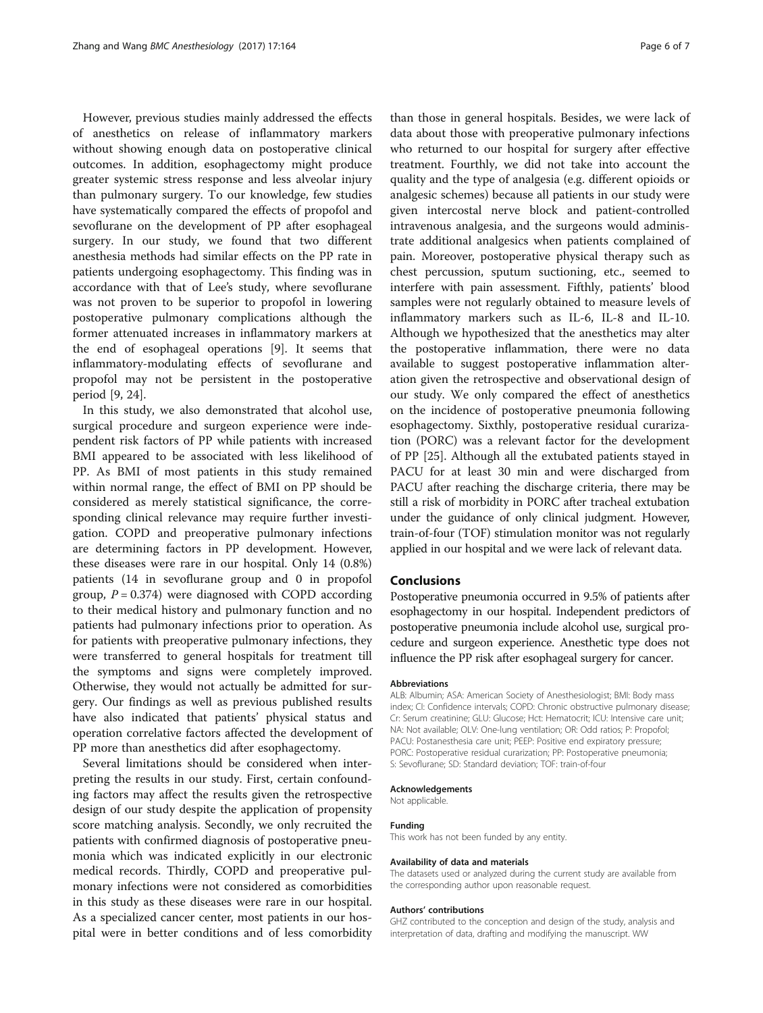However, previous studies mainly addressed the effects of anesthetics on release of inflammatory markers without showing enough data on postoperative clinical outcomes. In addition, esophagectomy might produce greater systemic stress response and less alveolar injury than pulmonary surgery. To our knowledge, few studies have systematically compared the effects of propofol and sevoflurane on the development of PP after esophageal surgery. In our study, we found that two different anesthesia methods had similar effects on the PP rate in patients undergoing esophagectomy. This finding was in accordance with that of Lee's study, where sevoflurane was not proven to be superior to propofol in lowering postoperative pulmonary complications although the former attenuated increases in inflammatory markers at the end of esophageal operations [\[9](#page-6-0)]. It seems that inflammatory-modulating effects of sevoflurane and propofol may not be persistent in the postoperative period [[9, 24\]](#page-6-0).

In this study, we also demonstrated that alcohol use, surgical procedure and surgeon experience were independent risk factors of PP while patients with increased BMI appeared to be associated with less likelihood of PP. As BMI of most patients in this study remained within normal range, the effect of BMI on PP should be considered as merely statistical significance, the corresponding clinical relevance may require further investigation. COPD and preoperative pulmonary infections are determining factors in PP development. However, these diseases were rare in our hospital. Only 14 (0.8%) patients (14 in sevoflurane group and 0 in propofol group,  $P = 0.374$ ) were diagnosed with COPD according to their medical history and pulmonary function and no patients had pulmonary infections prior to operation. As for patients with preoperative pulmonary infections, they were transferred to general hospitals for treatment till the symptoms and signs were completely improved. Otherwise, they would not actually be admitted for surgery. Our findings as well as previous published results have also indicated that patients' physical status and operation correlative factors affected the development of PP more than anesthetics did after esophagectomy.

Several limitations should be considered when interpreting the results in our study. First, certain confounding factors may affect the results given the retrospective design of our study despite the application of propensity score matching analysis. Secondly, we only recruited the patients with confirmed diagnosis of postoperative pneumonia which was indicated explicitly in our electronic medical records. Thirdly, COPD and preoperative pulmonary infections were not considered as comorbidities in this study as these diseases were rare in our hospital. As a specialized cancer center, most patients in our hospital were in better conditions and of less comorbidity than those in general hospitals. Besides, we were lack of data about those with preoperative pulmonary infections who returned to our hospital for surgery after effective treatment. Fourthly, we did not take into account the quality and the type of analgesia (e.g. different opioids or analgesic schemes) because all patients in our study were given intercostal nerve block and patient-controlled intravenous analgesia, and the surgeons would administrate additional analgesics when patients complained of pain. Moreover, postoperative physical therapy such as chest percussion, sputum suctioning, etc., seemed to interfere with pain assessment. Fifthly, patients' blood samples were not regularly obtained to measure levels of inflammatory markers such as IL-6, IL-8 and IL-10. Although we hypothesized that the anesthetics may alter the postoperative inflammation, there were no data available to suggest postoperative inflammation alteration given the retrospective and observational design of our study. We only compared the effect of anesthetics on the incidence of postoperative pneumonia following esophagectomy. Sixthly, postoperative residual curarization (PORC) was a relevant factor for the development of PP [[25](#page-6-0)]. Although all the extubated patients stayed in PACU for at least 30 min and were discharged from PACU after reaching the discharge criteria, there may be still a risk of morbidity in PORC after tracheal extubation under the guidance of only clinical judgment. However, train-of-four (TOF) stimulation monitor was not regularly applied in our hospital and we were lack of relevant data.

## Conclusions

Postoperative pneumonia occurred in 9.5% of patients after esophagectomy in our hospital. Independent predictors of postoperative pneumonia include alcohol use, surgical procedure and surgeon experience. Anesthetic type does not influence the PP risk after esophageal surgery for cancer.

#### **Abbreviations**

ALB: Albumin; ASA: American Society of Anesthesiologist; BMI: Body mass index; CI: Confidence intervals; COPD: Chronic obstructive pulmonary disease; Cr: Serum creatinine; GLU: Glucose; Hct: Hematocrit; ICU: Intensive care unit; NA: Not available; OLV: One-lung ventilation; OR: Odd ratios; P: Propofol; PACU: Postanesthesia care unit; PEEP: Positive end expiratory pressure; PORC: Postoperative residual curarization; PP: Postoperative pneumonia; S: Sevoflurane; SD: Standard deviation; TOF: train-of-four

#### Acknowledgements

Not applicable.

#### Funding

This work has not been funded by any entity.

#### Availability of data and materials

The datasets used or analyzed during the current study are available from the corresponding author upon reasonable request.

#### Authors' contributions

GHZ contributed to the conception and design of the study, analysis and interpretation of data, drafting and modifying the manuscript. WW